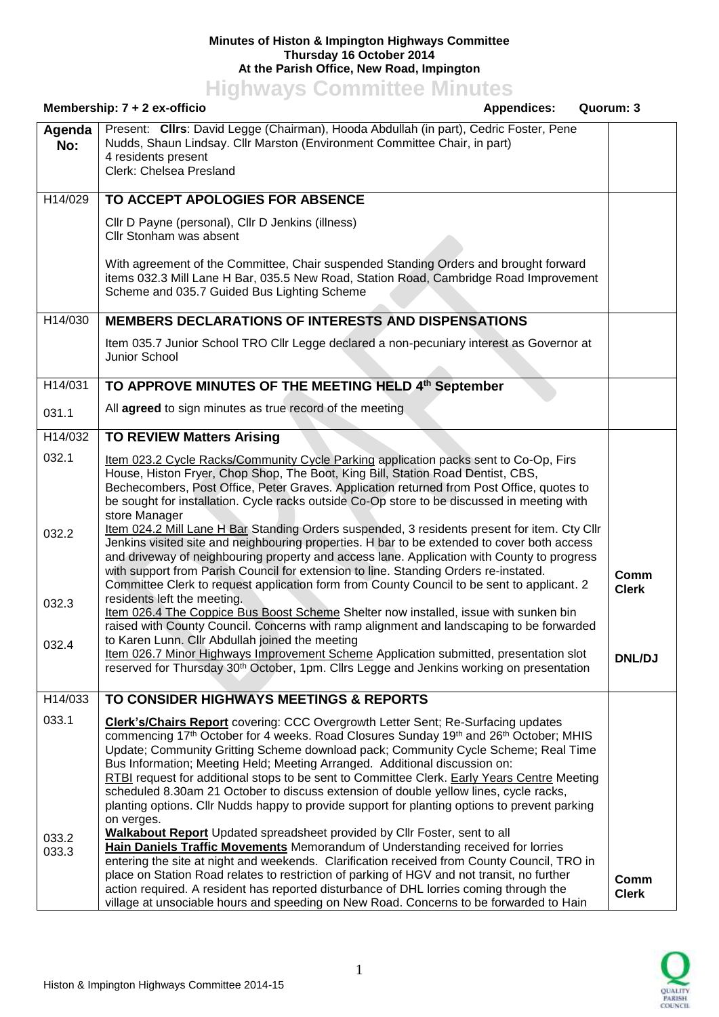## **Minutes of Histon & Impington Highways Committee Thursday 16 October 2014 At the Parish Office, New Road, Impington**

**Highways Committee Minutes**

|               | Membership: 7 + 2 ex-officio<br><b>Appendices:</b><br>Quorum: 3                                                                                                                                                                                                                                                                                                                                                                                                                                                                                                                                                                                                                          |                      |
|---------------|------------------------------------------------------------------------------------------------------------------------------------------------------------------------------------------------------------------------------------------------------------------------------------------------------------------------------------------------------------------------------------------------------------------------------------------------------------------------------------------------------------------------------------------------------------------------------------------------------------------------------------------------------------------------------------------|----------------------|
| Agenda<br>No: | Present: Clirs: David Legge (Chairman), Hooda Abdullah (in part), Cedric Foster, Pene<br>Nudds, Shaun Lindsay. Cllr Marston (Environment Committee Chair, in part)<br>4 residents present<br>Clerk: Chelsea Presland                                                                                                                                                                                                                                                                                                                                                                                                                                                                     |                      |
| H14/029       | TO ACCEPT APOLOGIES FOR ABSENCE                                                                                                                                                                                                                                                                                                                                                                                                                                                                                                                                                                                                                                                          |                      |
|               | Cllr D Payne (personal), Cllr D Jenkins (illness)<br>Cllr Stonham was absent                                                                                                                                                                                                                                                                                                                                                                                                                                                                                                                                                                                                             |                      |
|               | With agreement of the Committee, Chair suspended Standing Orders and brought forward<br>items 032.3 Mill Lane H Bar, 035.5 New Road, Station Road, Cambridge Road Improvement<br>Scheme and 035.7 Guided Bus Lighting Scheme                                                                                                                                                                                                                                                                                                                                                                                                                                                             |                      |
| H14/030       | <b>MEMBERS DECLARATIONS OF INTERESTS AND DISPENSATIONS</b>                                                                                                                                                                                                                                                                                                                                                                                                                                                                                                                                                                                                                               |                      |
|               | Item 035.7 Junior School TRO Cllr Legge declared a non-pecuniary interest as Governor at<br>Junior School                                                                                                                                                                                                                                                                                                                                                                                                                                                                                                                                                                                |                      |
| H14/031       | TO APPROVE MINUTES OF THE MEETING HELD 4th September                                                                                                                                                                                                                                                                                                                                                                                                                                                                                                                                                                                                                                     |                      |
| 031.1         | All agreed to sign minutes as true record of the meeting                                                                                                                                                                                                                                                                                                                                                                                                                                                                                                                                                                                                                                 |                      |
| H14/032       | <b>TO REVIEW Matters Arising</b>                                                                                                                                                                                                                                                                                                                                                                                                                                                                                                                                                                                                                                                         |                      |
| 032.1         | Item 023.2 Cycle Racks/Community Cycle Parking application packs sent to Co-Op, Firs<br>House, Histon Fryer, Chop Shop, The Boot, King Bill, Station Road Dentist, CBS,<br>Bechecombers, Post Office, Peter Graves. Application returned from Post Office, quotes to<br>be sought for installation. Cycle racks outside Co-Op store to be discussed in meeting with<br>store Manager                                                                                                                                                                                                                                                                                                     |                      |
| 032.2         | Item 024.2 Mill Lane H Bar Standing Orders suspended, 3 residents present for item. Cty Cllr<br>Jenkins visited site and neighbouring properties. H bar to be extended to cover both access<br>and driveway of neighbouring property and access lane. Application with County to progress<br>with support from Parish Council for extension to line. Standing Orders re-instated.<br>Committee Clerk to request application form from County Council to be sent to applicant. 2                                                                                                                                                                                                          | Comm<br><b>Clerk</b> |
| 032.3         | residents left the meeting.<br>Item 026.4 The Coppice Bus Boost Scheme Shelter now installed, issue with sunken bin<br>raised with County Council. Concerns with ramp alignment and landscaping to be forwarded                                                                                                                                                                                                                                                                                                                                                                                                                                                                          |                      |
| 032.4         | to Karen Lunn. Cllr Abdullah joined the meeting<br>Item 026.7 Minor Highways Improvement Scheme Application submitted, presentation slot<br>reserved for Thursday 30 <sup>th</sup> October, 1pm. Cllrs Legge and Jenkins working on presentation                                                                                                                                                                                                                                                                                                                                                                                                                                         | <b>DNL/DJ</b>        |
| H14/033       | TO CONSIDER HIGHWAYS MEETINGS & REPORTS                                                                                                                                                                                                                                                                                                                                                                                                                                                                                                                                                                                                                                                  |                      |
| 033.1         | Clerk's/Chairs Report covering: CCC Overgrowth Letter Sent; Re-Surfacing updates<br>commencing 17 <sup>th</sup> October for 4 weeks. Road Closures Sunday 19 <sup>th</sup> and 26 <sup>th</sup> October; MHIS<br>Update; Community Gritting Scheme download pack; Community Cycle Scheme; Real Time<br>Bus Information; Meeting Held; Meeting Arranged. Additional discussion on:<br>RTBI request for additional stops to be sent to Committee Clerk. Early Years Centre Meeting<br>scheduled 8.30am 21 October to discuss extension of double yellow lines, cycle racks,<br>planting options. Cllr Nudds happy to provide support for planting options to prevent parking<br>on verges. |                      |
| 033.2         | Walkabout Report Updated spreadsheet provided by Cllr Foster, sent to all                                                                                                                                                                                                                                                                                                                                                                                                                                                                                                                                                                                                                |                      |
| 033.3         | Hain Daniels Traffic Movements Memorandum of Understanding received for lorries<br>entering the site at night and weekends. Clarification received from County Council, TRO in<br>place on Station Road relates to restriction of parking of HGV and not transit, no further<br>action required. A resident has reported disturbance of DHL lorries coming through the<br>village at unsociable hours and speeding on New Road. Concerns to be forwarded to Hain                                                                                                                                                                                                                         | Comm<br><b>Clerk</b> |

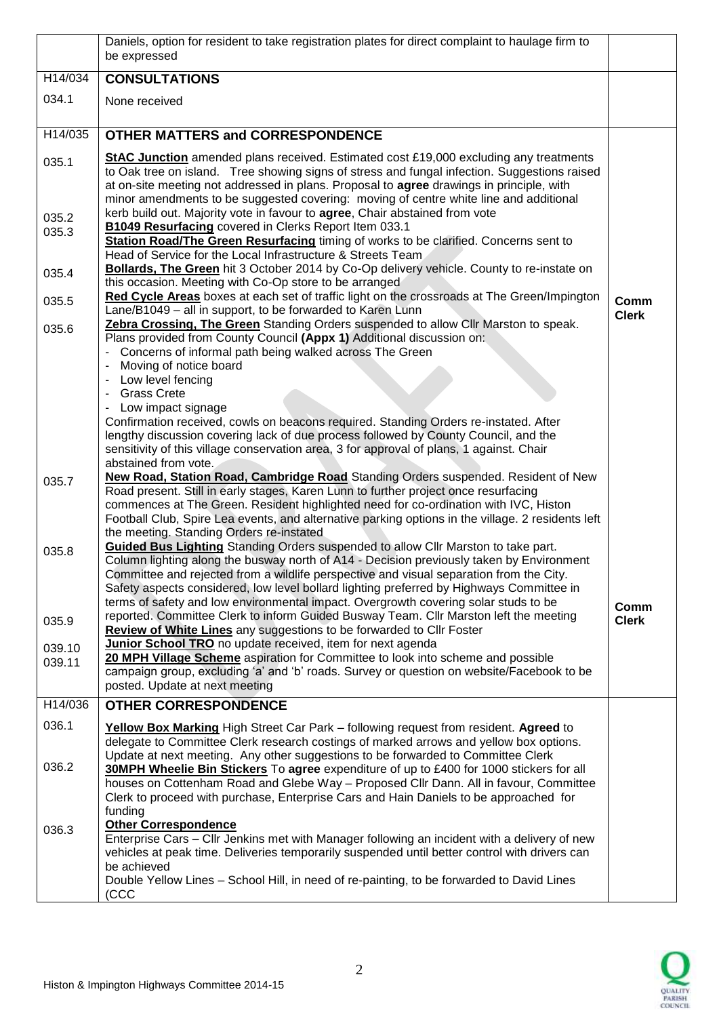|                  | Daniels, option for resident to take registration plates for direct complaint to haulage firm to<br>be expressed                                                                                                                                                                                                                                                                                                                                            |                      |
|------------------|-------------------------------------------------------------------------------------------------------------------------------------------------------------------------------------------------------------------------------------------------------------------------------------------------------------------------------------------------------------------------------------------------------------------------------------------------------------|----------------------|
| H14/034          | <b>CONSULTATIONS</b>                                                                                                                                                                                                                                                                                                                                                                                                                                        |                      |
| 034.1            | None received                                                                                                                                                                                                                                                                                                                                                                                                                                               |                      |
| H14/035          | <b>OTHER MATTERS and CORRESPONDENCE</b>                                                                                                                                                                                                                                                                                                                                                                                                                     |                      |
| 035.1            | <b>StAC Junction</b> amended plans received. Estimated cost £19,000 excluding any treatments<br>to Oak tree on island. Tree showing signs of stress and fungal infection. Suggestions raised<br>at on-site meeting not addressed in plans. Proposal to agree drawings in principle, with<br>minor amendments to be suggested covering: moving of centre white line and additional                                                                           |                      |
| 035.2<br>035.3   | kerb build out. Majority vote in favour to agree, Chair abstained from vote<br><b>B1049 Resurfacing covered in Clerks Report Item 033.1</b><br>Station Road/The Green Resurfacing timing of works to be clarified. Concerns sent to                                                                                                                                                                                                                         |                      |
| 035.4            | Head of Service for the Local Infrastructure & Streets Team<br>Bollards, The Green hit 3 October 2014 by Co-Op delivery vehicle. County to re-instate on<br>this occasion. Meeting with Co-Op store to be arranged                                                                                                                                                                                                                                          |                      |
| 035.5            | Red Cycle Areas boxes at each set of traffic light on the crossroads at The Green/Impington<br>Lane/B1049 - all in support, to be forwarded to Karen Lunn<br>Zebra Crossing, The Green Standing Orders suspended to allow Cllr Marston to speak.                                                                                                                                                                                                            | Comm<br><b>Clerk</b> |
| 035.6            | Plans provided from County Council (Appx 1) Additional discussion on:<br>Concerns of informal path being walked across The Green<br>Moving of notice board<br>$\overline{\phantom{a}}$<br>Low level fencing<br><b>Grass Crete</b>                                                                                                                                                                                                                           |                      |
|                  | Low impact signage<br>Confirmation received, cowls on beacons required. Standing Orders re-instated. After<br>lengthy discussion covering lack of due process followed by County Council, and the<br>sensitivity of this village conservation area, 3 for approval of plans, 1 against. Chair<br>abstained from vote.                                                                                                                                       |                      |
| 035.7            | <b>New Road, Station Road, Cambridge Road</b> Standing Orders suspended. Resident of New<br>Road present. Still in early stages, Karen Lunn to further project once resurfacing<br>commences at The Green. Resident highlighted need for co-ordination with IVC, Histon<br>Football Club, Spire Lea events, and alternative parking options in the village. 2 residents left<br>the meeting. Standing Orders re-instated                                    |                      |
| 035.8            | Guided Bus Lighting Standing Orders suspended to allow Cllr Marston to take part.<br>Column lighting along the busway north of A14 - Decision previously taken by Environment<br>Committee and rejected from a wildlife perspective and visual separation from the City.<br>Safety aspects considered, low level bollard lighting preferred by Highways Committee in<br>terms of safety and low environmental impact. Overgrowth covering solar studs to be | Comm                 |
| 035.9            | reported. Committee Clerk to inform Guided Busway Team. Cllr Marston left the meeting<br><b>Review of White Lines</b> any suggestions to be forwarded to Cllr Foster                                                                                                                                                                                                                                                                                        | <b>Clerk</b>         |
| 039.10<br>039.11 | Junior School TRO no update received, item for next agenda<br>20 MPH Village Scheme aspiration for Committee to look into scheme and possible<br>campaign group, excluding 'a' and 'b' roads. Survey or question on website/Facebook to be<br>posted. Update at next meeting                                                                                                                                                                                |                      |
| H14/036          | <b>OTHER CORRESPONDENCE</b>                                                                                                                                                                                                                                                                                                                                                                                                                                 |                      |
| 036.1            | Yellow Box Marking High Street Car Park – following request from resident. Agreed to<br>delegate to Committee Clerk research costings of marked arrows and yellow box options.<br>Update at next meeting. Any other suggestions to be forwarded to Committee Clerk                                                                                                                                                                                          |                      |
| 036.2            | 30MPH Wheelie Bin Stickers To agree expenditure of up to £400 for 1000 stickers for all<br>houses on Cottenham Road and Glebe Way - Proposed Cllr Dann. All in favour, Committee<br>Clerk to proceed with purchase, Enterprise Cars and Hain Daniels to be approached for<br>funding                                                                                                                                                                        |                      |
| 036.3            | <b>Other Correspondence</b><br>Enterprise Cars - Cllr Jenkins met with Manager following an incident with a delivery of new<br>vehicles at peak time. Deliveries temporarily suspended until better control with drivers can<br>be achieved                                                                                                                                                                                                                 |                      |
|                  | Double Yellow Lines - School Hill, in need of re-painting, to be forwarded to David Lines<br>(CCC                                                                                                                                                                                                                                                                                                                                                           |                      |